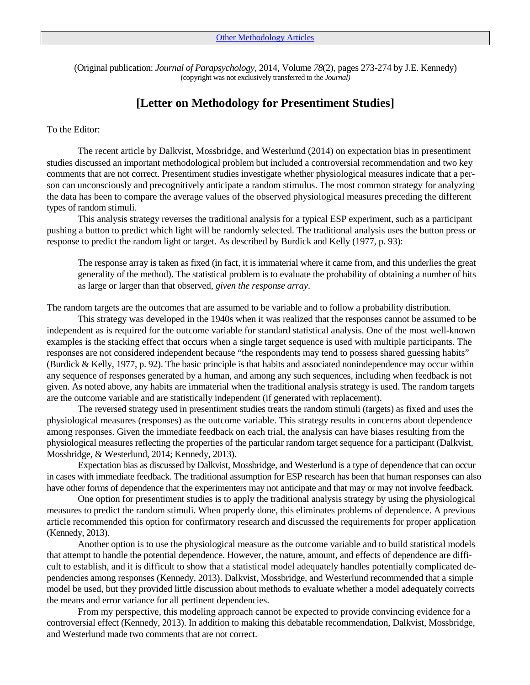(Original publication: *Journal of Parapsychology*, 2014, Volume *78*(2), pages 273-274 by J.E. Kennedy) (copyright was not exclusively transferred to the *Journal)*

## **[Letter on Methodology for Presentiment Studies]**

## To the Editor:

The recent article by Dalkvist, Mossbridge, and Westerlund (2014) on expectation bias in presentiment studies discussed an important methodological problem but included a controversial recommendation and two key comments that are not correct. Presentiment studies investigate whether physiological measures indicate that a person can unconsciously and precognitively anticipate a random stimulus. The most common strategy for analyzing the data has been to compare the average values of the observed physiological measures preceding the different types of random stimuli.

This analysis strategy reverses the traditional analysis for a typical ESP experiment, such as a participant pushing a button to predict which light will be randomly selected. The traditional analysis uses the button press or response to predict the random light or target. As described by Burdick and Kelly (1977, p. 93):

The response array is taken as fixed (in fact, it is immaterial where it came from, and this underlies the great generality of the method). The statistical problem is to evaluate the probability of obtaining a number of hits as large or larger than that observed, *given the response array*.

The random targets are the outcomes that are assumed to be variable and to follow a probability distribution.

This strategy was developed in the 1940s when it was realized that the responses cannot be assumed to be independent as is required for the outcome variable for standard statistical analysis. One of the most well-known examples is the stacking effect that occurs when a single target sequence is used with multiple participants. The responses are not considered independent because "the respondents may tend to possess shared guessing habits" (Burdick & Kelly, 1977, p. 92). The basic principle is that habits and associated nonindependence may occur within any sequence of responses generated by a human, and among any such sequences, including when feedback is not given. As noted above, any habits are immaterial when the traditional analysis strategy is used. The random targets are the outcome variable and are statistically independent (if generated with replacement).

The reversed strategy used in presentiment studies treats the random stimuli (targets) as fixed and uses the physiological measures (responses) as the outcome variable. This strategy results in concerns about dependence among responses. Given the immediate feedback on each trial, the analysis can have biases resulting from the physiological measures reflecting the properties of the particular random target sequence for a participant (Dalkvist, Mossbridge, & Westerlund, 2014; Kennedy, 2013).

Expectation bias as discussed by Dalkvist, Mossbridge, and Westerlund is a type of dependence that can occur in cases with immediate feedback. The traditional assumption for ESP research has been that human responses can also have other forms of dependence that the experimenters may not anticipate and that may or may not involve feedback.

One option for presentiment studies is to apply the traditional analysis strategy by using the physiological measures to predict the random stimuli. When properly done, this eliminates problems of dependence. A previous article recommended this option for confirmatory research and discussed the requirements for proper application (Kennedy, 2013).

Another option is to use the physiological measure as the outcome variable and to build statistical models that attempt to handle the potential dependence. However, the nature, amount, and effects of dependence are difficult to establish, and it is difficult to show that a statistical model adequately handles potentially complicated dependencies among responses (Kennedy, 2013). Dalkvist, Mossbridge, and Westerlund recommended that a simple model be used, but they provided little discussion about methods to evaluate whether a model adequately corrects the means and error variance for all pertinent dependencies.

From my perspective, this modeling approach cannot be expected to provide convincing evidence for a controversial effect (Kennedy, 2013). In addition to making this debatable recommendation, Dalkvist, Mossbridge, and Westerlund made two comments that are not correct.